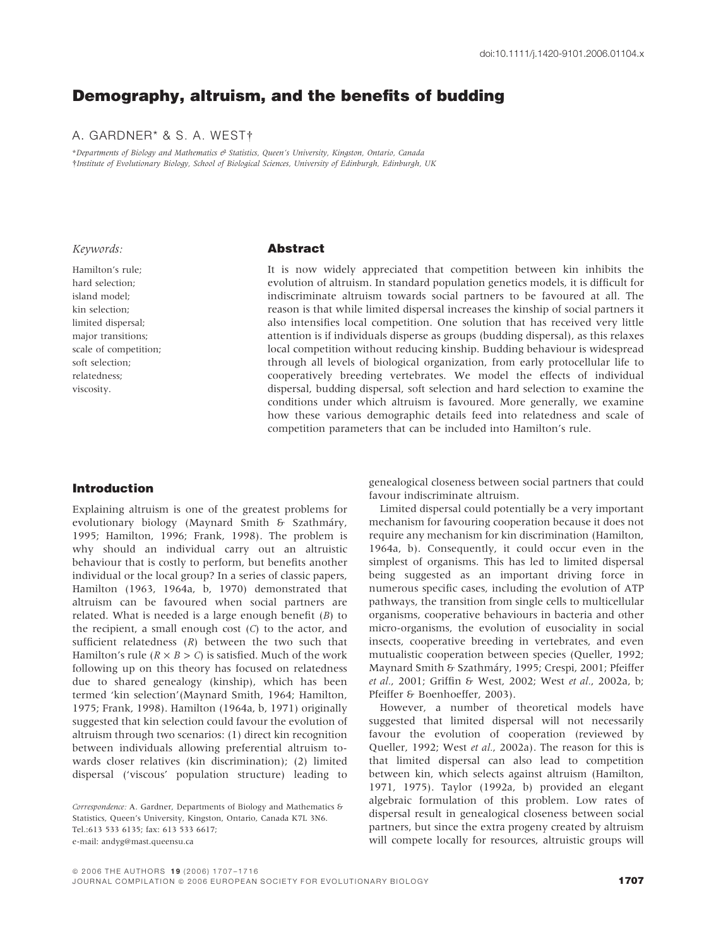# Demography, altruism, and the benefits of budding

## A. GARDNER\* & S. A. WEST+

\*Departments of Biology and Mathematics & Statistics, Queen's University, Kingston, Ontario, Canada -Institute of Evolutionary Biology, School of Biological Sciences, University of Edinburgh, Edinburgh, UK

### Keywords:

Hamilton's rule; hard selection; island model; kin selection; limited dispersal; major transitions; scale of competition; soft selection; relatedness; viscosity.

## Abstract

It is now widely appreciated that competition between kin inhibits the evolution of altruism. In standard population genetics models, it is difficult for indiscriminate altruism towards social partners to be favoured at all. The reason is that while limited dispersal increases the kinship of social partners it also intensifies local competition. One solution that has received very little attention is if individuals disperse as groups (budding dispersal), as this relaxes local competition without reducing kinship. Budding behaviour is widespread through all levels of biological organization, from early protocellular life to cooperatively breeding vertebrates. We model the effects of individual dispersal, budding dispersal, soft selection and hard selection to examine the conditions under which altruism is favoured. More generally, we examine how these various demographic details feed into relatedness and scale of competition parameters that can be included into Hamilton's rule.

## Introduction

Explaining altruism is one of the greatest problems for evolutionary biology (Maynard Smith & Szathmáry, 1995; Hamilton, 1996; Frank, 1998). The problem is why should an individual carry out an altruistic behaviour that is costly to perform, but benefits another individual or the local group? In a series of classic papers, Hamilton (1963, 1964a, b, 1970) demonstrated that altruism can be favoured when social partners are related. What is needed is a large enough benefit  $(B)$  to the recipient, a small enough cost  $(C)$  to the actor, and sufficient relatedness  $(R)$  between the two such that Hamilton's rule ( $R \times B > C$ ) is satisfied. Much of the work following up on this theory has focused on relatedness due to shared genealogy (kinship), which has been termed 'kin selection'(Maynard Smith, 1964; Hamilton, 1975; Frank, 1998). Hamilton (1964a, b, 1971) originally suggested that kin selection could favour the evolution of altruism through two scenarios: (1) direct kin recognition between individuals allowing preferential altruism towards closer relatives (kin discrimination); (2) limited dispersal ('viscous' population structure) leading to

Correspondence: A. Gardner, Departments of Biology and Mathematics & Statistics, Queen's University, Kingston, Ontario, Canada K7L 3N6. Tel.:613 533 6135; fax: 613 533 6617; e-mail: andyg@mast.queensu.ca

genealogical closeness between social partners that could favour indiscriminate altruism.

Limited dispersal could potentially be a very important mechanism for favouring cooperation because it does not require any mechanism for kin discrimination (Hamilton, 1964a, b). Consequently, it could occur even in the simplest of organisms. This has led to limited dispersal being suggested as an important driving force in numerous specific cases, including the evolution of ATP pathways, the transition from single cells to multicellular organisms, cooperative behaviours in bacteria and other micro-organisms, the evolution of eusociality in social insects, cooperative breeding in vertebrates, and even mutualistic cooperation between species (Queller, 1992; Maynard Smith & Szathmáry, 1995; Crespi, 2001; Pfeiffer et al., 2001; Griffin & West, 2002; West et al., 2002a, b; Pfeiffer & Boenhoeffer, 2003).

However, a number of theoretical models have suggested that limited dispersal will not necessarily favour the evolution of cooperation (reviewed by Queller, 1992; West et al., 2002a). The reason for this is that limited dispersal can also lead to competition between kin, which selects against altruism (Hamilton, 1971, 1975). Taylor (1992a, b) provided an elegant algebraic formulation of this problem. Low rates of dispersal result in genealogical closeness between social partners, but since the extra progeny created by altruism will compete locally for resources, altruistic groups will

<sup>© 2006</sup> THE AUTHORS 19 (2006) 1707-1716

JOURNAL COMPILATION © 2006 EUROPEAN SOCIETY FOR EVOLUTIONARY BIOLOGY 1707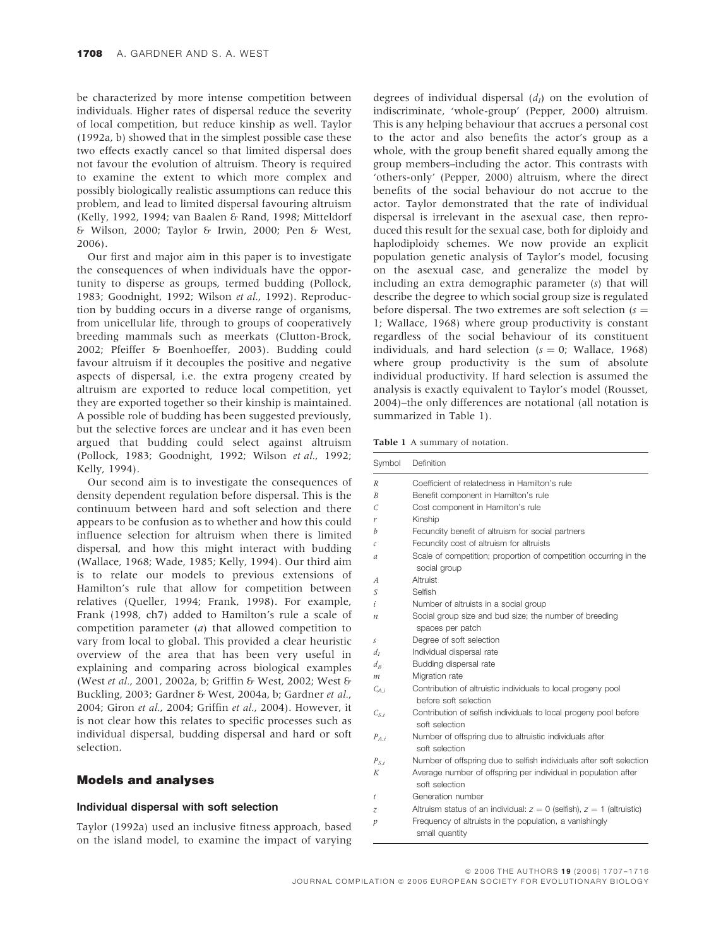be characterized by more intense competition between individuals. Higher rates of dispersal reduce the severity of local competition, but reduce kinship as well. Taylor (1992a, b) showed that in the simplest possible case these two effects exactly cancel so that limited dispersal does not favour the evolution of altruism. Theory is required to examine the extent to which more complex and possibly biologically realistic assumptions can reduce this problem, and lead to limited dispersal favouring altruism (Kelly, 1992, 1994; van Baalen & Rand, 1998; Mitteldorf & Wilson, 2000; Taylor & Irwin, 2000; Pen & West, 2006).

Our first and major aim in this paper is to investigate the consequences of when individuals have the opportunity to disperse as groups, termed budding (Pollock, 1983; Goodnight, 1992; Wilson et al., 1992). Reproduction by budding occurs in a diverse range of organisms, from unicellular life, through to groups of cooperatively breeding mammals such as meerkats (Clutton-Brock, 2002; Pfeiffer & Boenhoeffer, 2003). Budding could favour altruism if it decouples the positive and negative aspects of dispersal, i.e. the extra progeny created by altruism are exported to reduce local competition, yet they are exported together so their kinship is maintained. A possible role of budding has been suggested previously, but the selective forces are unclear and it has even been argued that budding could select against altruism (Pollock, 1983; Goodnight, 1992; Wilson et al., 1992; Kelly, 1994).

Our second aim is to investigate the consequences of density dependent regulation before dispersal. This is the continuum between hard and soft selection and there appears to be confusion as to whether and how this could influence selection for altruism when there is limited dispersal, and how this might interact with budding (Wallace, 1968; Wade, 1985; Kelly, 1994). Our third aim is to relate our models to previous extensions of Hamilton's rule that allow for competition between relatives (Queller, 1994; Frank, 1998). For example, Frank (1998, ch7) added to Hamilton's rule a scale of competition parameter (a) that allowed competition to vary from local to global. This provided a clear heuristic overview of the area that has been very useful in explaining and comparing across biological examples (West et al., 2001, 2002a, b; Griffin & West, 2002; West & Buckling, 2003; Gardner & West, 2004a, b; Gardner et al., 2004; Giron et al., 2004; Griffin et al., 2004). However, it is not clear how this relates to specific processes such as individual dispersal, budding dispersal and hard or soft selection.

## Models and analyses

## Individual dispersal with soft selection

Taylor (1992a) used an inclusive fitness approach, based on the island model, to examine the impact of varying degrees of individual dispersal  $(d<sub>1</sub>)$  on the evolution of indiscriminate, 'whole-group' (Pepper, 2000) altruism. This is any helping behaviour that accrues a personal cost to the actor and also benefits the actor's group as a whole, with the group benefit shared equally among the group members–including the actor. This contrasts with 'others-only' (Pepper, 2000) altruism, where the direct benefits of the social behaviour do not accrue to the actor. Taylor demonstrated that the rate of individual dispersal is irrelevant in the asexual case, then reproduced this result for the sexual case, both for diploidy and haplodiploidy schemes. We now provide an explicit population genetic analysis of Taylor's model, focusing on the asexual case, and generalize the model by including an extra demographic parameter (s) that will describe the degree to which social group size is regulated before dispersal. The two extremes are soft selection ( $s =$ 1; Wallace, 1968) where group productivity is constant regardless of the social behaviour of its constituent individuals, and hard selection ( $s = 0$ ; Wallace, 1968) where group productivity is the sum of absolute individual productivity. If hard selection is assumed the analysis is exactly equivalent to Taylor's model (Rousset, 2004)–the only differences are notational (all notation is summarized in Table 1).

| <b>Table 1</b> A summary of notation. |  |  |  |
|---------------------------------------|--|--|--|
|---------------------------------------|--|--|--|

| Symbol           | Definition                                                                            |
|------------------|---------------------------------------------------------------------------------------|
| R                | Coefficient of relatedness in Hamilton's rule                                         |
| B                | Benefit component in Hamilton's rule                                                  |
| C                | Cost component in Hamilton's rule                                                     |
| r                | Kinship                                                                               |
| h                | Fecundity benefit of altruism for social partners                                     |
| Ċ.               | Fecundity cost of altruism for altruists                                              |
| a                | Scale of competition; proportion of competition occurring in the<br>social group      |
| А                | Altruist                                                                              |
| S                | Selfish                                                                               |
| i                | Number of altruists in a social group                                                 |
| $\boldsymbol{n}$ | Social group size and bud size; the number of breeding<br>spaces per patch            |
| S                | Degree of soft selection                                                              |
| $d_I$            | Individual dispersal rate                                                             |
| $d_R$            | Budding dispersal rate                                                                |
| $\boldsymbol{m}$ | Migration rate                                                                        |
| $C_{A,i}$        | Contribution of altruistic individuals to local progeny pool<br>before soft selection |
| $C_{S,i}$        | Contribution of selfish individuals to local progeny pool before<br>soft selection    |
| $P_{A,i}$        | Number of offspring due to altruistic individuals after<br>soft selection             |
| $P_{S,i}$        | Number of offspring due to selfish individuals after soft selection                   |
| K                | Average number of offspring per individual in population after<br>soft selection      |
| t.               | Generation number                                                                     |
| Z                | Altruism status of an individual: $z = 0$ (selfish), $z = 1$ (altruistic)             |
| p                | Frequency of altruists in the population, a vanishingly<br>small quantity             |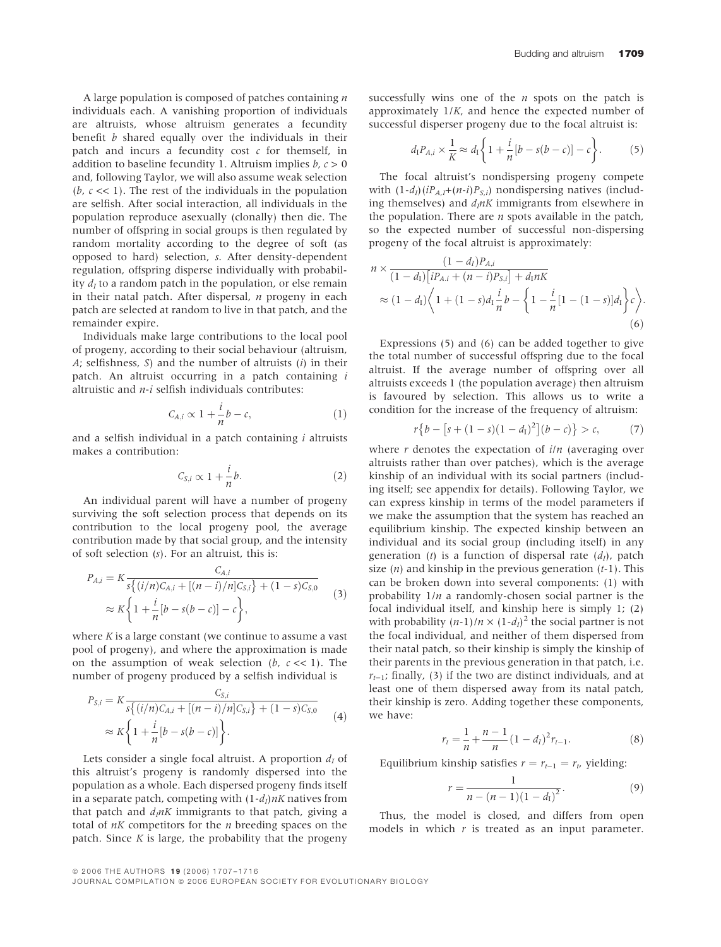A large population is composed of patches containing  $n$ individuals each. A vanishing proportion of individuals are altruists, whose altruism generates a fecundity benefit  $b$  shared equally over the individuals in their patch and incurs a fecundity cost  $c$  for themself, in addition to baseline fecundity 1. Altruism implies  $b, c > 0$ and, following Taylor, we will also assume weak selection  $(b, c \ll 1)$ . The rest of the individuals in the population are selfish. After social interaction, all individuals in the population reproduce asexually (clonally) then die. The number of offspring in social groups is then regulated by random mortality according to the degree of soft (as opposed to hard) selection, s. After density-dependent regulation, offspring disperse individually with probability  $d_I$  to a random patch in the population, or else remain in their natal patch. After dispersal,  $n$  progeny in each patch are selected at random to live in that patch, and the remainder expire.

Individuals make large contributions to the local pool of progeny, according to their social behaviour (altruism, A; selfishness,  $S$ ) and the number of altruists (*i*) in their patch. An altruist occurring in a patch containing  $i$ altruistic and  $n-i$  selfish individuals contributes:

$$
C_{A,i} \propto 1 + \frac{i}{n}b - c,\tag{1}
$$

and a selfish individual in a patch containing i altruists makes a contribution:

$$
C_{S,i} \propto 1 + \frac{i}{n}b. \tag{2}
$$

An individual parent will have a number of progeny surviving the soft selection process that depends on its contribution to the local progeny pool, the average contribution made by that social group, and the intensity of soft selection (s). For an altruist, this is:

$$
P_{A,i} = K \frac{C_{A,i}}{s\{(i/n)C_{A,i} + [(n-i)/n]C_{S,i}\} + (1-s)C_{S,0}} \approx K \left\{ 1 + \frac{i}{n} [b - s(b-c)] - c \right\},
$$
\n(3)

where  $K$  is a large constant (we continue to assume a vast pool of progeny), and where the approximation is made on the assumption of weak selection  $(b, c \ll 1)$ . The number of progeny produced by a selfish individual is

$$
P_{S,i} = K \frac{C_{S,i}}{s \{(i/n)C_{A,i} + [(n-i)/n]C_{S,i}\} + (1-s)C_{S,0}} \approx K \left\{ 1 + \frac{i}{n} [b - s(b-c)] \right\}.
$$
 (4)

Lets consider a single focal altruist. A proportion  $d_I$  of this altruist's progeny is randomly dispersed into the population as a whole. Each dispersed progeny finds itself in a separate patch, competing with  $(1-d_i)nK$  natives from that patch and  $d_l nK$  immigrants to that patch, giving a total of  $nK$  competitors for the  $n$  breeding spaces on the patch. Since  $K$  is large, the probability that the progeny successfully wins one of the  $n$  spots on the patch is approximately 1/K, and hence the expected number of successful disperser progeny due to the focal altruist is:

$$
d_1 P_{A,i} \times \frac{1}{K} \approx d_1 \left\{ 1 + \frac{i}{n} [b - s(b - c)] - c \right\}.
$$
 (5)

The focal altruist's nondispersing progeny compete with  $(1-d_i)(iP_{A,I}+(n-i)P_{S,i})$  nondispersing natives (including themselves) and  $d_l nK$  immigrants from elsewhere in the population. There are  $n$  spots available in the patch, so the expected number of successful non-dispersing progeny of the focal altruist is approximately:

$$
n \times \frac{(1-d_I)P_{A,i}}{(1-d_I)\left[iP_{A,i} + (n-i)P_{S,i}\right] + d_I nK}
$$
  
 
$$
\approx (1-d_I)\left\langle 1 + (1-s)d_I \frac{i}{n}b - \left\{1 - \frac{i}{n}[1 - (1-s)]d_I\right\}c\right\rangle.
$$
  
(6)

Expressions (5) and (6) can be added together to give the total number of successful offspring due to the focal altruist. If the average number of offspring over all altruists exceeds 1 (the population average) then altruism is favoured by selection. This allows us to write a condition for the increase of the frequency of altruism:

$$
r\{b - [s + (1 - s)(1 - d_1)^2](b - c)\} > c,
$$
 (7)

where r denotes the expectation of  $i/n$  (averaging over altruists rather than over patches), which is the average kinship of an individual with its social partners (including itself; see appendix for details). Following Taylor, we can express kinship in terms of the model parameters if we make the assumption that the system has reached an equilibrium kinship. The expected kinship between an individual and its social group (including itself) in any generation (t) is a function of dispersal rate  $(d<sub>I</sub>)$ , patch size  $(n)$  and kinship in the previous generation  $(t-1)$ . This can be broken down into several components: (1) with probability  $1/n$  a randomly-chosen social partner is the focal individual itself, and kinship here is simply 1; (2) with probability  $(n-1)/n \times (1-d_1)^2$  the social partner is not the focal individual, and neither of them dispersed from their natal patch, so their kinship is simply the kinship of their parents in the previous generation in that patch, i.e.  $r_{t-1}$ ; finally, (3) if the two are distinct individuals, and at least one of them dispersed away from its natal patch, their kinship is zero. Adding together these components, we have:

$$
r_t = \frac{1}{n} + \frac{n-1}{n} (1 - d_I)^2 r_{t-1}.
$$
 (8)

Equilibrium kinship satisfies  $r = r_{t-1} = r_t$ , yielding:

$$
r = \frac{1}{n - (n - 1)(1 - d_1)^2}.
$$
\n(9)

Thus, the model is closed, and differs from open models in which  $r$  is treated as an input parameter.

<sup>© 2006</sup> THE AUTHORS 19 (2006) 1707-1716

JOURNAL COMPILATION © 2006 EUROPEAN SOCIETY FOR EVOLUTIONARY BIOLOGY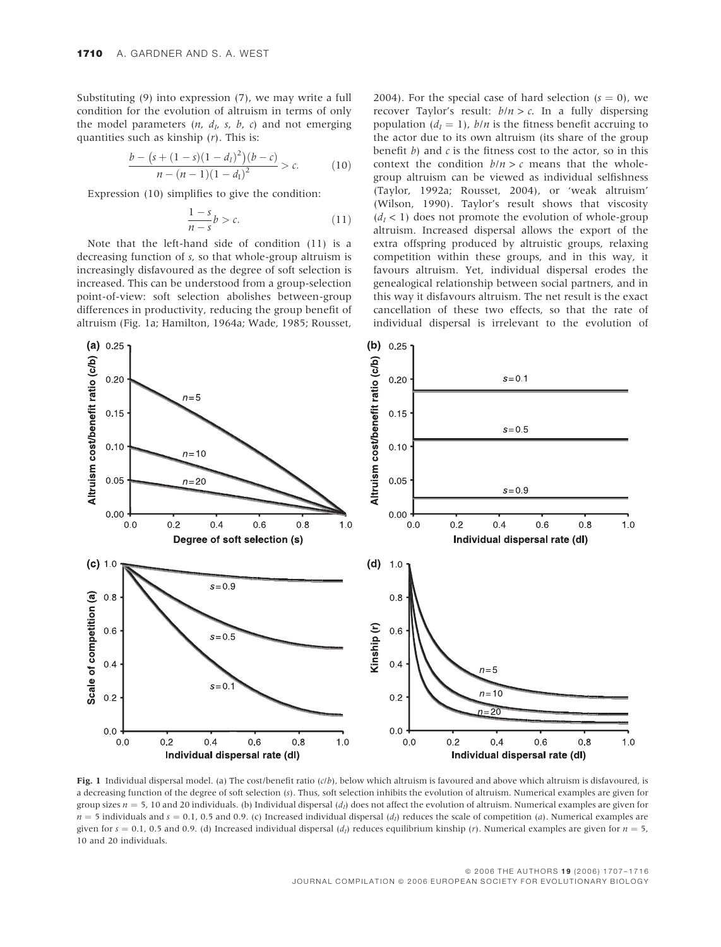Substituting (9) into expression (7), we may write a full condition for the evolution of altruism in terms of only the model parameters  $(n, d_1, s, b, c)$  and not emerging quantities such as kinship  $(r)$ . This is:

$$
\frac{b - (s + (1 - s)(1 - d_l)^2)(b - c)}{n - (n - 1)(1 - d_l)^2} > c.
$$
 (10)

Expression (10) simplifies to give the condition:

$$
\frac{1-s}{n-s}b > c.\tag{11}
$$

Note that the left-hand side of condition (11) is a decreasing function of s, so that whole-group altruism is increasingly disfavoured as the degree of soft selection is increased. This can be understood from a group-selection point-of-view: soft selection abolishes between-group differences in productivity, reducing the group benefit of altruism (Fig. 1a; Hamilton, 1964a; Wade, 1985; Rousset, 2004). For the special case of hard selection  $(s = 0)$ , we recover Taylor's result:  $b/n > c$ . In a fully dispersing population  $(d_1 = 1)$ ,  $b/n$  is the fitness benefit accruing to the actor due to its own altruism (its share of the group benefit  $b$ ) and  $c$  is the fitness cost to the actor, so in this context the condition  $b/n > c$  means that the wholegroup altruism can be viewed as individual selfishness (Taylor, 1992a; Rousset, 2004), or 'weak altruism' (Wilson, 1990). Taylor's result shows that viscosity  $(d<sub>I</sub> < 1)$  does not promote the evolution of whole-group altruism. Increased dispersal allows the export of the extra offspring produced by altruistic groups, relaxing competition within these groups, and in this way, it favours altruism. Yet, individual dispersal erodes the genealogical relationship between social partners, and in this way it disfavours altruism. The net result is the exact cancellation of these two effects, so that the rate of individual dispersal is irrelevant to the evolution of



Fig. 1 Individual dispersal model. (a) The cost/benefit ratio  $(c/b)$ , below which altruism is favoured and above which altruism is disfavoured, is a decreasing function of the degree of soft selection (s). Thus, soft selection inhibits the evolution of altruism. Numerical examples are given for group sizes  $n = 5$ , 10 and 20 individuals. (b) Individual dispersal (d<sub>l</sub>) does not affect the evolution of altruism. Numerical examples are given for  $n = 5$  individuals and  $s = 0.1$ , 0.5 and 0.9. (c) Increased individual dispersal (d<sub>l</sub>) reduces the scale of competition (a). Numerical examples are given for  $s = 0.1$ , 0.5 and 0.9. (d) Increased individual dispersal (d<sub>i</sub>) reduces equilibrium kinship (r). Numerical examples are given for  $n = 5$ , 10 and 20 individuals.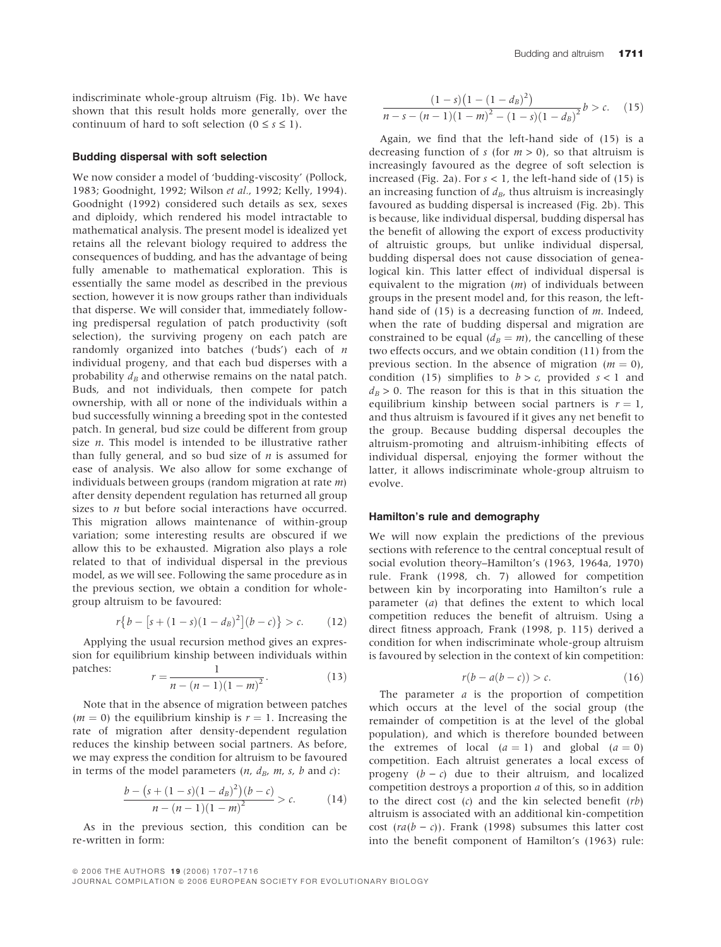indiscriminate whole-group altruism (Fig. 1b). We have shown that this result holds more generally, over the continuum of hard to soft selection ( $0 \leq s \leq 1$ ).

#### Budding dispersal with soft selection

We now consider a model of 'budding-viscosity' (Pollock, 1983; Goodnight, 1992; Wilson et al., 1992; Kelly, 1994). Goodnight (1992) considered such details as sex, sexes and diploidy, which rendered his model intractable to mathematical analysis. The present model is idealized yet retains all the relevant biology required to address the consequences of budding, and has the advantage of being fully amenable to mathematical exploration. This is essentially the same model as described in the previous section, however it is now groups rather than individuals that disperse. We will consider that, immediately following predispersal regulation of patch productivity (soft selection), the surviving progeny on each patch are randomly organized into batches ('buds') each of  $n$ individual progeny, and that each bud disperses with a probability  $d_B$  and otherwise remains on the natal patch. Buds, and not individuals, then compete for patch ownership, with all or none of the individuals within a bud successfully winning a breeding spot in the contested patch. In general, bud size could be different from group size  $n$ . This model is intended to be illustrative rather than fully general, and so bud size of  $n$  is assumed for ease of analysis. We also allow for some exchange of individuals between groups (random migration at rate m) after density dependent regulation has returned all group sizes to  $n$  but before social interactions have occurred. This migration allows maintenance of within-group variation; some interesting results are obscured if we allow this to be exhausted. Migration also plays a role related to that of individual dispersal in the previous model, as we will see. Following the same procedure as in the previous section, we obtain a condition for wholegroup altruism to be favoured:

$$
r\{b - [s + (1 - s)(1 - d_B)^2](b - c)\} > c. \tag{12}
$$

Applying the usual recursion method gives an expression for equilibrium kinship between individuals within  $p$ atches:  $q$  1

$$
r = \frac{1}{n - (n - 1)(1 - m)^2}.
$$
 (13)

Note that in the absence of migration between patches ( $m = 0$ ) the equilibrium kinship is  $r = 1$ . Increasing the rate of migration after density-dependent regulation reduces the kinship between social partners. As before, we may express the condition for altruism to be favoured in terms of the model parameters  $(n, d_B, m, s, b \text{ and } c)$ :

$$
\frac{b - (s + (1 - s)(1 - d_B)^2)(b - c)}{n - (n - 1)(1 - m)^2} > c.
$$
 (14)

As in the previous section, this condition can be re-written in form:

$$
\frac{(1-s)(1-(1-d_B)^2)}{n-s-(n-1)(1-m)^2-(1-s)(1-d_B)^2}b>c.
$$
 (15)

Again, we find that the left-hand side of (15) is a decreasing function of  $s$  (for  $m > 0$ ), so that altruism is increasingly favoured as the degree of soft selection is increased (Fig. 2a). For  $s < 1$ , the left-hand side of (15) is an increasing function of  $d_B$ , thus altruism is increasingly favoured as budding dispersal is increased (Fig. 2b). This is because, like individual dispersal, budding dispersal has the benefit of allowing the export of excess productivity of altruistic groups, but unlike individual dispersal, budding dispersal does not cause dissociation of genealogical kin. This latter effect of individual dispersal is equivalent to the migration  $(m)$  of individuals between groups in the present model and, for this reason, the lefthand side of  $(15)$  is a decreasing function of *m*. Indeed, when the rate of budding dispersal and migration are constrained to be equal  $(d_B = m)$ , the cancelling of these two effects occurs, and we obtain condition (11) from the previous section. In the absence of migration ( $m = 0$ ), condition (15) simplifies to  $b > c$ , provided  $s < 1$  and  $d_B$  > 0. The reason for this is that in this situation the equilibrium kinship between social partners is  $r = 1$ , and thus altruism is favoured if it gives any net benefit to the group. Because budding dispersal decouples the altruism-promoting and altruism-inhibiting effects of individual dispersal, enjoying the former without the latter, it allows indiscriminate whole-group altruism to evolve.

#### Hamilton's rule and demography

We will now explain the predictions of the previous sections with reference to the central conceptual result of social evolution theory–Hamilton's (1963, 1964a, 1970) rule. Frank (1998, ch. 7) allowed for competition between kin by incorporating into Hamilton's rule a parameter (a) that defines the extent to which local competition reduces the benefit of altruism. Using a direct fitness approach, Frank (1998, p. 115) derived a condition for when indiscriminate whole-group altruism is favoured by selection in the context of kin competition:

$$
r(b - a(b - c)) > c. \tag{16}
$$

The parameter  $a$  is the proportion of competition which occurs at the level of the social group (the remainder of competition is at the level of the global population), and which is therefore bounded between the extremes of local  $(a = 1)$  and global  $(a = 0)$ competition. Each altruist generates a local excess of progeny  $(b - c)$  due to their altruism, and localized competition destroys a proportion a of this, so in addition to the direct cost  $(c)$  and the kin selected benefit  $(rb)$ altruism is associated with an additional kin-competition cost  $\left(\frac{ra(b-c)}{c}\right)$ . Frank (1998) subsumes this latter cost into the benefit component of Hamilton's (1963) rule:

<sup>© 2006</sup> THE AUTHORS 19 (2006) 1707-1716

JOURNAL COMPILATION © 2006 EUROPEAN SOCIETY FOR EVOLUTIONARY BIOLOGY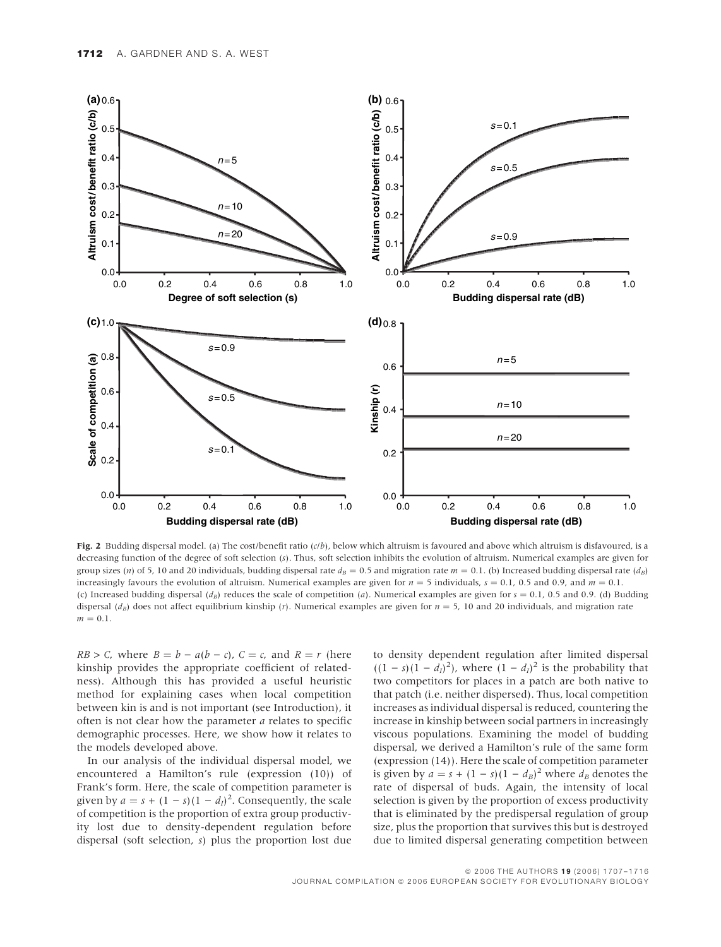

Fig. 2 Budding dispersal model. (a) The cost/benefit ratio  $(c/b)$ , below which altruism is favoured and above which altruism is disfavoured, is a decreasing function of the degree of soft selection (s). Thus, soft selection inhibits the evolution of altruism. Numerical examples are given for group sizes (n) of 5, 10 and 20 individuals, budding dispersal rate  $d_B = 0.5$  and migration rate  $m = 0.1$ . (b) Increased budding dispersal rate ( $d_B$ ) increasingly favours the evolution of altruism. Numerical examples are given for  $n = 5$  individuals,  $s = 0.1$ , 0.5 and 0.9, and  $m = 0.1$ . (c) Increased budding dispersal ( $d_B$ ) reduces the scale of competition (a). Numerical examples are given for  $s = 0.1$ , 0.5 and 0.9. (d) Budding dispersal ( $d_B$ ) does not affect equilibrium kinship (r). Numerical examples are given for  $n = 5$ , 10 and 20 individuals, and migration rate  $m = 0.1$ .

 $RB > C$ , where  $B = b - a(b - c)$ ,  $C = c$ , and  $R = r$  (here kinship provides the appropriate coefficient of relatedness). Although this has provided a useful heuristic method for explaining cases when local competition between kin is and is not important (see Introduction), it often is not clear how the parameter  $a$  relates to specific demographic processes. Here, we show how it relates to the models developed above.

In our analysis of the individual dispersal model, we encountered a Hamilton's rule (expression (10)) of Frank's form. Here, the scale of competition parameter is given by  $a = s + (1 - s)(1 - d_1)^2$ . Consequently, the scale of competition is the proportion of extra group productivity lost due to density-dependent regulation before dispersal (soft selection, s) plus the proportion lost due to density dependent regulation after limited dispersal  $((1 - s)(1 - d<sub>I</sub>)<sup>2</sup>)$ , where  $(1 - d<sub>I</sub>)<sup>2</sup>$  is the probability that two competitors for places in a patch are both native to that patch (i.e. neither dispersed). Thus, local competition increases as individual dispersal is reduced, countering the increase in kinship between social partners in increasingly viscous populations. Examining the model of budding dispersal, we derived a Hamilton's rule of the same form (expression (14)). Here the scale of competition parameter is given by  $a = s + (1 - s)(1 - d_B)^2$  where  $d_B$  denotes the rate of dispersal of buds. Again, the intensity of local selection is given by the proportion of excess productivity that is eliminated by the predispersal regulation of group size, plus the proportion that survives this but is destroyed due to limited dispersal generating competition between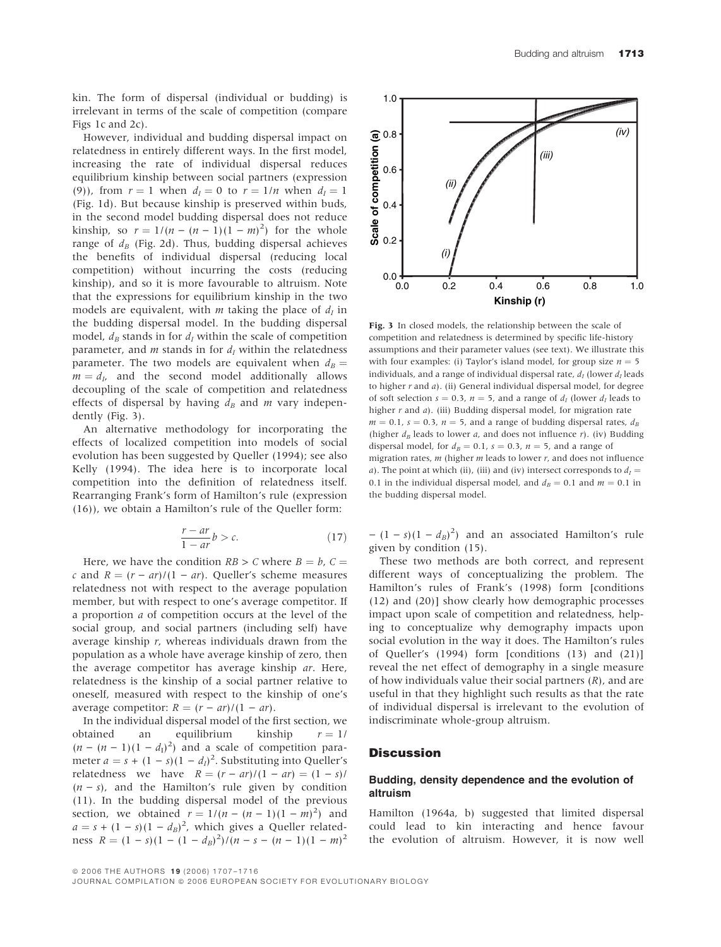kin. The form of dispersal (individual or budding) is irrelevant in terms of the scale of competition (compare Figs 1c and 2c).

However, individual and budding dispersal impact on relatedness in entirely different ways. In the first model, increasing the rate of individual dispersal reduces equilibrium kinship between social partners (expression (9)), from  $r = 1$  when  $d_1 = 0$  to  $r = 1/n$  when  $d_1 = 1$ (Fig. 1d). But because kinship is preserved within buds, in the second model budding dispersal does not reduce kinship, so  $r = 1/(n - (n - 1)(1 - m)^2)$  for the whole range of  $d_B$  (Fig. 2d). Thus, budding dispersal achieves the benefits of individual dispersal (reducing local competition) without incurring the costs (reducing kinship), and so it is more favourable to altruism. Note that the expressions for equilibrium kinship in the two models are equivalent, with  $m$  taking the place of  $d<sub>I</sub>$  in the budding dispersal model. In the budding dispersal model,  $d_B$  stands in for  $d_I$  within the scale of competition parameter, and *m* stands in for  $d<sub>I</sub>$  within the relatedness parameter. The two models are equivalent when  $d_B =$  $m = d<sub>I</sub>$ , and the second model additionally allows decoupling of the scale of competition and relatedness effects of dispersal by having  $d_B$  and m vary independently (Fig. 3).

An alternative methodology for incorporating the effects of localized competition into models of social evolution has been suggested by Queller (1994); see also Kelly (1994). The idea here is to incorporate local competition into the definition of relatedness itself. Rearranging Frank's form of Hamilton's rule (expression (16)), we obtain a Hamilton's rule of the Queller form:

$$
\frac{r - ar}{1 - ar}b > c.
$$
 (17)

Here, we have the condition  $RB > C$  where  $B = b$ ,  $C =$ c and  $R = (r - ar)/(1 - ar)$ . Queller's scheme measures relatedness not with respect to the average population member, but with respect to one's average competitor. If a proportion a of competition occurs at the level of the social group, and social partners (including self) have average kinship r, whereas individuals drawn from the population as a whole have average kinship of zero, then the average competitor has average kinship ar. Here, relatedness is the kinship of a social partner relative to oneself, measured with respect to the kinship of one's average competitor:  $R = (r - ar)/(1 - ar)$ .

In the individual dispersal model of the first section, we obtained an equilibrium kinship  $r = 1/$  $(n - (n - 1)(1 - d_1)^2)$  and a scale of competition parameter  $a = s + (1 - s)(1 - d_I)^2$ . Substituting into Queller's relatedness we have  $R = (r - ar)/(1 - ar) = (1 - s)/$  $(n - s)$ , and the Hamilton's rule given by condition (11). In the budding dispersal model of the previous section, we obtained  $r = 1/(n - (n - 1)(1 - m)^2)$  and  $a = s + (1 - s)(1 - d_B)^2$ , which gives a Queller relatedness  $R = (1 - s)(1 - (1 - d_B)^2)/(n - s - (n - 1)(1 - m)^2)$ 



Fig. 3 In closed models, the relationship between the scale of competition and relatedness is determined by specific life-history assumptions and their parameter values (see text). We illustrate this with four examples: (i) Taylor's island model, for group size  $n = 5$ individuals, and a range of individual dispersal rate,  $d_I$  (lower  $d_I$  leads to higher  $r$  and  $a$ ). (ii) General individual dispersal model, for degree of soft selection  $s = 0.3$ ,  $n = 5$ , and a range of  $d<sub>I</sub>$  (lower  $d<sub>I</sub>$  leads to higher  $r$  and  $a$ ). (iii) Budding dispersal model, for migration rate  $m = 0.1$ ,  $s = 0.3$ ,  $n = 5$ , and a range of budding dispersal rates,  $d_B$ (higher  $d_B$  leads to lower a, and does not influence r). (iv) Budding dispersal model, for  $d_B = 0.1$ ,  $s = 0.3$ ,  $n = 5$ , and a range of migration rates,  $m$  (higher  $m$  leads to lower  $r$ , and does not influence a). The point at which (ii), (iii) and (iv) intersect corresponds to  $d_1 =$ 0.1 in the individual dispersal model, and  $d_B = 0.1$  and  $m = 0.1$  in the budding dispersal model.

 $- (1 - s)(1 - d_B)^2$  and an associated Hamilton's rule given by condition (15).

These two methods are both correct, and represent different ways of conceptualizing the problem. The Hamilton's rules of Frank's (1998) form [conditions (12) and (20)] show clearly how demographic processes impact upon scale of competition and relatedness, helping to conceptualize why demography impacts upon social evolution in the way it does. The Hamilton's rules of Queller's (1994) form [conditions (13) and (21)] reveal the net effect of demography in a single measure of how individuals value their social partners  $(R)$ , and are useful in that they highlight such results as that the rate of individual dispersal is irrelevant to the evolution of indiscriminate whole-group altruism.

## **Discussion**

## Budding, density dependence and the evolution of altruism

Hamilton (1964a, b) suggested that limited dispersal could lead to kin interacting and hence favour the evolution of altruism. However, it is now well

<sup>© 2006</sup> THE AUTHORS 19 (2006) 1707-1716

JOURNAL COMPILATION © 2006 EUROPEAN SOCIETY FOR EVOLUTIONARY BIOLOGY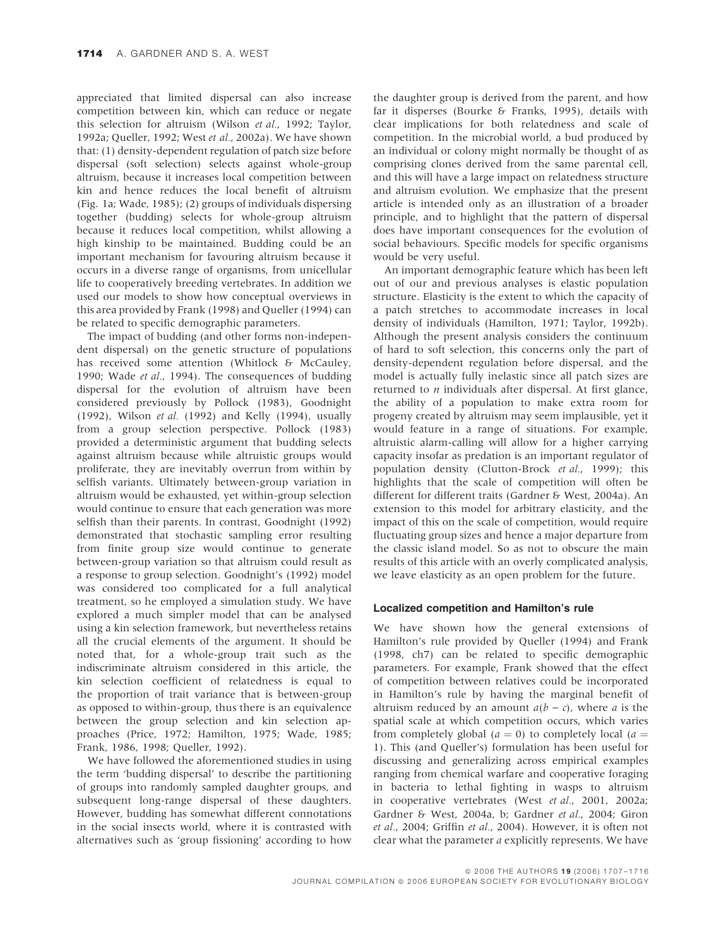appreciated that limited dispersal can also increase competition between kin, which can reduce or negate this selection for altruism (Wilson et al., 1992; Taylor, 1992a; Queller, 1992; West et al., 2002a). We have shown that: (1) density-dependent regulation of patch size before dispersal (soft selection) selects against whole-group altruism, because it increases local competition between kin and hence reduces the local benefit of altruism (Fig. 1a; Wade, 1985); (2) groups of individuals dispersing together (budding) selects for whole-group altruism because it reduces local competition, whilst allowing a high kinship to be maintained. Budding could be an important mechanism for favouring altruism because it occurs in a diverse range of organisms, from unicellular life to cooperatively breeding vertebrates. In addition we used our models to show how conceptual overviews in this area provided by Frank (1998) and Queller (1994) can be related to specific demographic parameters.

The impact of budding (and other forms non-independent dispersal) on the genetic structure of populations has received some attention (Whitlock & McCauley, 1990; Wade et al., 1994). The consequences of budding dispersal for the evolution of altruism have been considered previously by Pollock (1983), Goodnight (1992), Wilson et al. (1992) and Kelly (1994), usually from a group selection perspective. Pollock (1983) provided a deterministic argument that budding selects against altruism because while altruistic groups would proliferate, they are inevitably overrun from within by selfish variants. Ultimately between-group variation in altruism would be exhausted, yet within-group selection would continue to ensure that each generation was more selfish than their parents. In contrast, Goodnight (1992) demonstrated that stochastic sampling error resulting from finite group size would continue to generate between-group variation so that altruism could result as a response to group selection. Goodnight's (1992) model was considered too complicated for a full analytical treatment, so he employed a simulation study. We have explored a much simpler model that can be analysed using a kin selection framework, but nevertheless retains all the crucial elements of the argument. It should be noted that, for a whole-group trait such as the indiscriminate altruism considered in this article, the kin selection coefficient of relatedness is equal to the proportion of trait variance that is between-group as opposed to within-group, thus there is an equivalence between the group selection and kin selection approaches (Price, 1972; Hamilton, 1975; Wade, 1985; Frank, 1986, 1998; Queller, 1992).

We have followed the aforementioned studies in using the term 'budding dispersal' to describe the partitioning of groups into randomly sampled daughter groups, and subsequent long-range dispersal of these daughters. However, budding has somewhat different connotations in the social insects world, where it is contrasted with alternatives such as 'group fissioning' according to how

the daughter group is derived from the parent, and how far it disperses (Bourke & Franks, 1995), details with clear implications for both relatedness and scale of competition. In the microbial world, a bud produced by an individual or colony might normally be thought of as comprising clones derived from the same parental cell, and this will have a large impact on relatedness structure and altruism evolution. We emphasize that the present article is intended only as an illustration of a broader principle, and to highlight that the pattern of dispersal does have important consequences for the evolution of social behaviours. Specific models for specific organisms would be very useful.

An important demographic feature which has been left out of our and previous analyses is elastic population structure. Elasticity is the extent to which the capacity of a patch stretches to accommodate increases in local density of individuals (Hamilton, 1971; Taylor, 1992b). Although the present analysis considers the continuum of hard to soft selection, this concerns only the part of density-dependent regulation before dispersal, and the model is actually fully inelastic since all patch sizes are returned to  $n$  individuals after dispersal. At first glance, the ability of a population to make extra room for progeny created by altruism may seem implausible, yet it would feature in a range of situations. For example, altruistic alarm-calling will allow for a higher carrying capacity insofar as predation is an important regulator of population density (Clutton-Brock et al., 1999); this highlights that the scale of competition will often be different for different traits (Gardner & West, 2004a). An extension to this model for arbitrary elasticity, and the impact of this on the scale of competition, would require fluctuating group sizes and hence a major departure from the classic island model. So as not to obscure the main results of this article with an overly complicated analysis, we leave elasticity as an open problem for the future.

## Localized competition and Hamilton's rule

We have shown how the general extensions of Hamilton's rule provided by Queller (1994) and Frank (1998, ch7) can be related to specific demographic parameters. For example, Frank showed that the effect of competition between relatives could be incorporated in Hamilton's rule by having the marginal benefit of altruism reduced by an amount  $a(b - c)$ , where a is the spatial scale at which competition occurs, which varies from completely global ( $a = 0$ ) to completely local ( $a =$ 1). This (and Queller's) formulation has been useful for discussing and generalizing across empirical examples ranging from chemical warfare and cooperative foraging in bacteria to lethal fighting in wasps to altruism in cooperative vertebrates (West et al., 2001, 2002a; Gardner & West, 2004a, b; Gardner et al., 2004; Giron et al., 2004; Griffin et al., 2004). However, it is often not clear what the parameter a explicitly represents. We have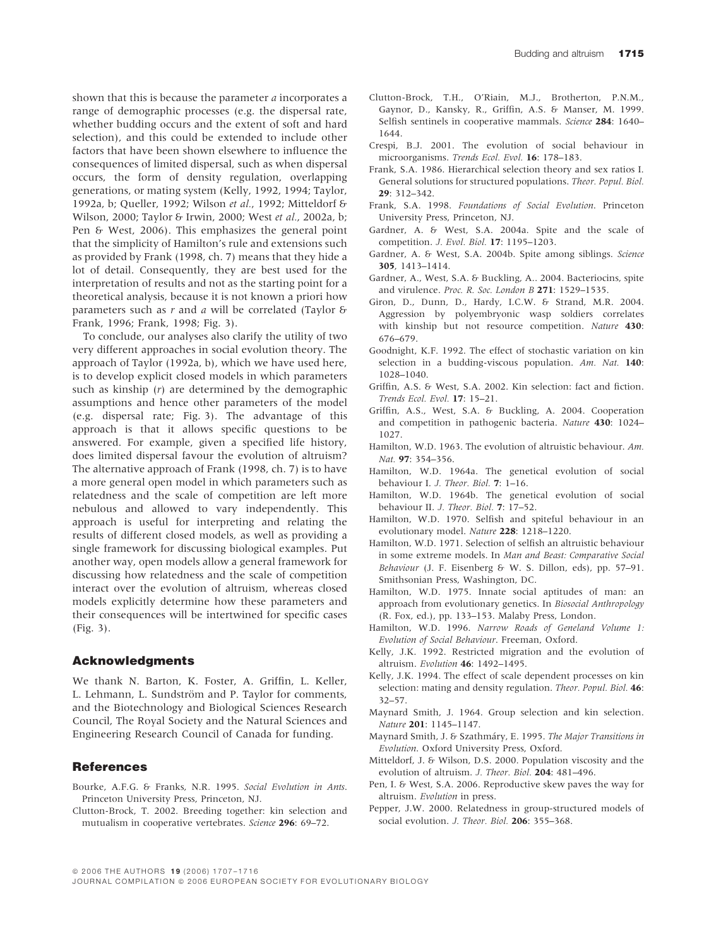shown that this is because the parameter a incorporates a range of demographic processes (e.g. the dispersal rate, whether budding occurs and the extent of soft and hard selection), and this could be extended to include other factors that have been shown elsewhere to influence the consequences of limited dispersal, such as when dispersal occurs, the form of density regulation, overlapping generations, or mating system (Kelly, 1992, 1994; Taylor, 1992a, b; Queller, 1992; Wilson et al., 1992; Mitteldorf & Wilson, 2000; Taylor & Irwin, 2000; West et al., 2002a, b; Pen & West, 2006). This emphasizes the general point that the simplicity of Hamilton's rule and extensions such as provided by Frank (1998, ch. 7) means that they hide a lot of detail. Consequently, they are best used for the interpretation of results and not as the starting point for a theoretical analysis, because it is not known a priori how parameters such as  $r$  and  $a$  will be correlated (Taylor  $\delta$ Frank, 1996; Frank, 1998; Fig. 3).

To conclude, our analyses also clarify the utility of two very different approaches in social evolution theory. The approach of Taylor (1992a, b), which we have used here, is to develop explicit closed models in which parameters such as kinship  $(r)$  are determined by the demographic assumptions and hence other parameters of the model (e.g. dispersal rate; Fig. 3). The advantage of this approach is that it allows specific questions to be answered. For example, given a specified life history, does limited dispersal favour the evolution of altruism? The alternative approach of Frank (1998, ch. 7) is to have a more general open model in which parameters such as relatedness and the scale of competition are left more nebulous and allowed to vary independently. This approach is useful for interpreting and relating the results of different closed models, as well as providing a single framework for discussing biological examples. Put another way, open models allow a general framework for discussing how relatedness and the scale of competition interact over the evolution of altruism, whereas closed models explicitly determine how these parameters and their consequences will be intertwined for specific cases (Fig. 3).

## Acknowledgments

We thank N. Barton, K. Foster, A. Griffin, L. Keller, L. Lehmann, L. Sundström and P. Taylor for comments, and the Biotechnology and Biological Sciences Research Council, The Royal Society and the Natural Sciences and Engineering Research Council of Canada for funding.

## References

- Bourke, A.F.G. & Franks, N.R. 1995. Social Evolution in Ants. Princeton University Press, Princeton, NJ.
- Clutton-Brock, T. 2002. Breeding together: kin selection and mutualism in cooperative vertebrates. Science 296: 69-72.
- Clutton-Brock, T.H., O'Riain, M.J., Brotherton, P.N.M., Gaynor, D., Kansky, R., Griffin, A.S. & Manser, M. 1999. Selfish sentinels in cooperative mammals. Science 284: 1640-1644.
- Crespi, B.J. 2001. The evolution of social behaviour in microorganisms. Trends Ecol. Evol. 16: 178-183.
- Frank, S.A. 1986. Hierarchical selection theory and sex ratios I. General solutions for structured populations. Theor. Popul. Biol.  $29.312 - 342$
- Frank, S.A. 1998. Foundations of Social Evolution. Princeton University Press, Princeton, NJ.
- Gardner, A. & West, S.A. 2004a. Spite and the scale of competition. J. Evol. Biol. 17: 1195–1203.
- Gardner, A. & West, S.A. 2004b. Spite among siblings. Science 305, 1413–1414.
- Gardner, A., West, S.A. & Buckling, A.. 2004. Bacteriocins, spite and virulence. Proc. R. Soc. London B 271: 1529-1535.
- Giron, D., Dunn, D., Hardy, I.C.W. & Strand, M.R. 2004. Aggression by polyembryonic wasp soldiers correlates with kinship but not resource competition. Nature 430: 676–679.
- Goodnight, K.F. 1992. The effect of stochastic variation on kin selection in a budding-viscous population. Am. Nat. 140: 1028–1040.
- Griffin, A.S. & West, S.A. 2002. Kin selection: fact and fiction. Trends Ecol. Evol. 17: 15–21.
- Griffin, A.S., West, S.A. & Buckling, A. 2004. Cooperation and competition in pathogenic bacteria. Nature 430: 1024– 1027.
- Hamilton, W.D. 1963. The evolution of altruistic behaviour. Am. Nat. 97: 354–356.
- Hamilton, W.D. 1964a. The genetical evolution of social behaviour I. J. Theor. Biol. 7: 1–16.
- Hamilton, W.D. 1964b. The genetical evolution of social behaviour II. J. Theor. Biol. 7: 17–52.
- Hamilton, W.D. 1970. Selfish and spiteful behaviour in an evolutionary model. Nature 228: 1218–1220.
- Hamilton, W.D. 1971. Selection of selfish an altruistic behaviour in some extreme models. In Man and Beast: Comparative Social Behaviour (J. F. Eisenberg & W. S. Dillon, eds), pp. 57–91. Smithsonian Press, Washington, DC.
- Hamilton, W.D. 1975. Innate social aptitudes of man: an approach from evolutionary genetics. In Biosocial Anthropology (R. Fox, ed.), pp. 133–153. Malaby Press, London.
- Hamilton, W.D. 1996. Narrow Roads of Geneland Volume 1: Evolution of Social Behaviour. Freeman, Oxford.
- Kelly, J.K. 1992. Restricted migration and the evolution of altruism. Evolution 46: 1492–1495.
- Kelly, J.K. 1994. The effect of scale dependent processes on kin selection: mating and density regulation. Theor. Popul. Biol. 46: 32–57.
- Maynard Smith, J. 1964. Group selection and kin selection. Nature 201: 1145–1147.
- Maynard Smith, J. & Szathmáry, E. 1995. The Major Transitions in Evolution. Oxford University Press, Oxford.
- Mitteldorf, J. & Wilson, D.S. 2000. Population viscosity and the evolution of altruism. J. Theor. Biol. 204: 481–496.
- Pen, I. & West, S.A. 2006. Reproductive skew paves the way for altruism. Evolution in press.
- Pepper, J.W. 2000. Relatedness in group-structured models of social evolution. J. Theor. Biol. 206: 355-368.

<sup>© 2006</sup> THE AUTHORS 19 (2006) 1707-1716

JOURNAL COMPILATION @ 2006 EUROPEAN SOCIETY FOR EVOLUTIONARY BIOLOGY